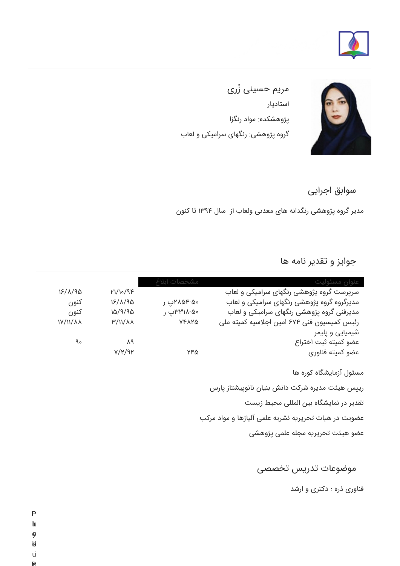



ُ مریم حسینی زری استادیار پژوهشکده: مواد رنگزا گروه پژوهشی: رنگهای سرامیکی و لعاب

## سوابق اجرایی

مدیر گروه پژوهشی رنگدانه های معدنی ولعاب از سال ۱۳۹۴ تا کنون

## جوایز و تقدیر نامه ها

| عنوان مسئوليت                                                                                                                                                                                                     | مشخصات       |                |            |
|-------------------------------------------------------------------------------------------------------------------------------------------------------------------------------------------------------------------|--------------|----------------|------------|
| سرپرست گروه پژوهشی رنگهای سرامیکی و لعاب                                                                                                                                                                          |              | ۱/۱۰/۹۴        | 15/1/90    |
| مدیرگروه گروه پژوهشی رنگهای سرامیکی و لعاب                                                                                                                                                                        | ۵۰-۸۵۴م۲پ ر  | 18/1/90        | كنون       |
| مدیرفنی گروه پژوهشی رنگهای سرامیکی و لعاب                                                                                                                                                                         | ۵۰-۱۸۳۱۸پ ر  | 16/9/96        | كنون       |
| رئیس کمیسیون فنی ۶۷۴ امین اجلاسیه کمیته ملی                                                                                                                                                                       | <b>YFAYQ</b> | <b>M/II/AA</b> | 1Y/11/ A A |
| شیمیایی و پلیمر                                                                                                                                                                                                   |              |                |            |
| عضو كميته ثبت اختراع                                                                                                                                                                                              |              | ٨٩             | ۹۰         |
| عضو كميته فناورى                                                                                                                                                                                                  | ۲۴۵          | Y/Y/9Y         |            |
| مسئول آزمایشگاه کوره ها<br>رییس هیئت مدیره شرکت دانش بنیان نانوپیشتاز پارس<br>تقدیر در نمایشگاه بین المللی محیط زیست<br>عضویت در هیات تحریریه نشریه علمی آلیاژها و مواد مرکب<br>عضو هيئت تحريريه مجله علمى پژوهشى |              |                |            |
|                                                                                                                                                                                                                   |              |                |            |

## موضوعات تدریس تخصصی

فناوری ذره : دکتری و ارشد

- P
- $\mathbf{h}$
- o
- d hysialproperties<br>District lab.<br>Production
- u
- **P**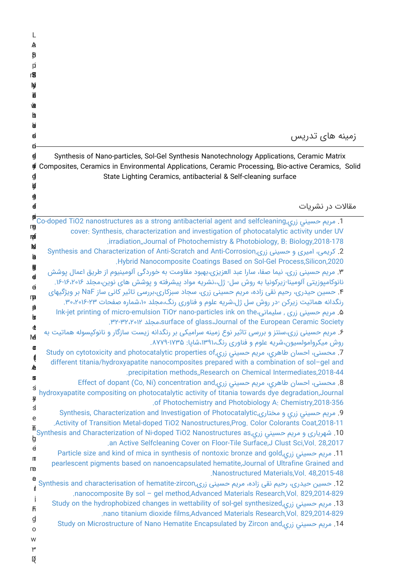| L                 |                                                                                                                                                                                                      |
|-------------------|------------------------------------------------------------------------------------------------------------------------------------------------------------------------------------------------------|
| A<br>ß            |                                                                                                                                                                                                      |
| p                 |                                                                                                                                                                                                      |
| r₩                |                                                                                                                                                                                                      |
| Ŋ<br>甫            |                                                                                                                                                                                                      |
| 恤                 |                                                                                                                                                                                                      |
| tt<br><b>b</b>    |                                                                                                                                                                                                      |
| ę.                | زمینه های تدریس                                                                                                                                                                                      |
| n                 |                                                                                                                                                                                                      |
| g<br>ÇÍ           | Synthesis of Nano-particles, Sol-Gel Synthesis Nanotechnology Applications, Ceramic Matrix<br>Composites, Ceramics in Environmental Applications, Ceramic Processing, Bio-active Ceramics, Solid     |
| g                 | State Lighting Ceramics, antibacterial & Self-cleaning surface                                                                                                                                       |
| ķf                |                                                                                                                                                                                                      |
| g<br>$\mathbf 4$  | مقالات در نشریات                                                                                                                                                                                     |
| β                 | 1. مريم حسيني زري,Co-doped TiO2 nanostructures as a strong antibacterial agent and selfcleaning                                                                                                      |
| ng<br>咆           | cover: Synthesis, characterization and investigation of photocatalytic activity under UV                                                                                                             |
| p                 | .irradiation,,Journal of Photochemistry & Photobiology, B: Biology, 2018-178<br>2. کریمی، امیری و حسینی زری,Synthesis and Characterization of Anti-Scratch and Anti-Corrosion                        |
| b                 | Hybrid Nanocomposite Coatings Based on Sol-Gel Process, Silicon, 2020.                                                                                                                               |
| 9<br>$\mathbf d$  | ۳. مریم حسینی زری، نیما صفا، سارا عبد العزیزی،بهبود مقاومت به خوردگی آلومینیوم از طریق اعمال یوشش                                                                                                    |
| ø                 | نانوکامپوزیتی آلومینا-زیرکونیا به روش سل- ژل،،نشریه مواد پیشرفته و پوشش های نوین،مجلد ۱۶٬۲۰۶٬۲۰۶.<br>۴. حسین حیدری، رحیم نقی زاده، مریم حسینی زری، سجاد سبزکاری،بررسی تاثیر کانی ساز NaF بر ویژگیهای |
| rp<br>p           | رنگدانه هماتیت زیرکن -در روش سل ژل،شریه علوم و فناوری رنگ،مجلد ۱۰،شماره صفحات ۳۰،۲۰۱۶-۳۰،                                                                                                            |
| b                 | ۵. مریم حسینی زری , سلیمانی،Ink-jet printing of micro-emulsion TiO۲ nano-particles ink on the<br>Surface of glass، Journal of the European Ceramic Society،مجلد ١٢٥، ٣٢-٣٢.                          |
| đ                 | ۶. مریم حسینی زری،سنتز و بررسی تاثیر نوع زمینه سرامیکی بر رنگدانه زیست سازگار و نانوکپسوله هماتیت به                                                                                                 |
| M<br>Œ            | روش میکروامولسیون،شریه علوم و فناوری رنگ،۱۳۹۱،شایا: ۱۷۳۵-۸۷۷۹.                                                                                                                                       |
| Ç                 | 7. محسنی، احسان طاهری، مریم حسینی زری,Study on cytotoxicity and photocatalytic properties of<br>different titania/hydroxyapatite nanocomposites prepared with a combination of sol-gel and           |
| A<br>Ш            | .precipitation methods, Research on Chemical Intermediates, 2018-44                                                                                                                                  |
| S                 | 8. محسنی، احسان طاهري، مريم حسيني زري,Effect of dopant (Co, Ni) concentration and<br>hydroxyapatite compositing on photocatalytic activity of titania towards dye degradation, Journal               |
| Ŋ<br><sub>3</sub> | .of Photochemistry and Photobiology A: Chemistry, 2018-356                                                                                                                                           |
| e                 | 9. مريم حسيني زري و مختارى,Synthesis, Characterization and Investigation of Photocatalytic<br>Activity of Transition Metal-doped TiO2 Nanostructures, Prog. Color Colorants Coat, 2018-11.           |
| 而                 | 10. شهریاری و مریم حسیني زري,Synthesis and Characterization of Ni-doped TiO2 Nanostructures as                                                                                                       |
| ģ<br>$\theta$     | an Active Selfcleaning Cover on Floor-Tile Surface, J Clust Sci, Vol. 28, 2017                                                                                                                       |
| m                 | 11. مريم حسيني زري,Particle size and kind of mica in synthesis of nontoxic bronze and gold<br>pearlescent pigments based on nanoencapsulated hematite, Journal of Ultrafine Grained and              |
| me<br>e           | Nanostructured Materials, Vol. 48, 2015-48                                                                                                                                                           |
| Ł                 | 12. حسین حیدری، رحیم نقی زاده، مریم حسینی زری,Synthesis and characterisation of hematite-zircon<br>nanocomposite By sol - gel method, Advanced Materials Research, Vol. 829, 2014-829.               |
| ĥ                 | 13. مریم حسینی زری,Study on the hydrophobized changes in wettability of sol-gel synthesized                                                                                                          |
| g                 | nano titanium dioxide films, Advanced Materials Research, Vol. 829, 2014-829.                                                                                                                        |
| O                 | 14. مریم حسینی زری,Study on Microstructure of Nano Hematite Encapsulated by Zircon and                                                                                                               |
| W<br>٣            |                                                                                                                                                                                                      |
| Q                 |                                                                                                                                                                                                      |
|                   |                                                                                                                                                                                                      |
|                   |                                                                                                                                                                                                      |
|                   |                                                                                                                                                                                                      |
|                   |                                                                                                                                                                                                      |
|                   |                                                                                                                                                                                                      |
|                   |                                                                                                                                                                                                      |
|                   |                                                                                                                                                                                                      |
|                   |                                                                                                                                                                                                      |
|                   |                                                                                                                                                                                                      |
|                   |                                                                                                                                                                                                      |
|                   |                                                                                                                                                                                                      |
|                   |                                                                                                                                                                                                      |
|                   |                                                                                                                                                                                                      |
|                   |                                                                                                                                                                                                      |
|                   |                                                                                                                                                                                                      |
|                   |                                                                                                                                                                                                      |
|                   |                                                                                                                                                                                                      |
|                   |                                                                                                                                                                                                      |
|                   |                                                                                                                                                                                                      |
|                   |                                                                                                                                                                                                      |